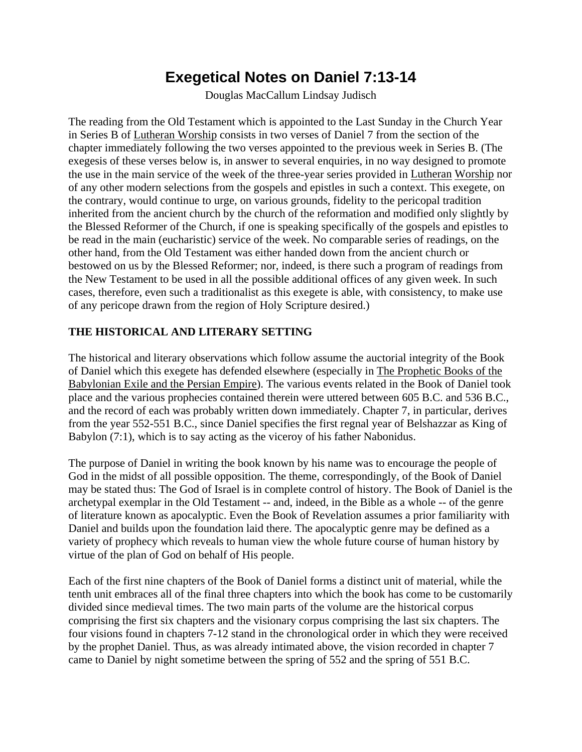## **Exegetical Notes on Daniel 7:13-14**

Douglas MacCallum Lindsay Judisch

The reading from the Old Testament which is appointed to the Last Sunday in the Church Year in Series B of Lutheran Worship consists in two verses of Daniel 7 from the section of the chapter immediately following the two verses appointed to the previous week in Series B. (The exegesis of these verses below is, in answer to several enquiries, in no way designed to promote the use in the main service of the week of the three-year series provided in Lutheran Worship nor of any other modern selections from the gospels and epistles in such a context. This exegete, on the contrary, would continue to urge, on various grounds, fidelity to the pericopal tradition inherited from the ancient church by the church of the reformation and modified only slightly by the Blessed Reformer of the Church, if one is speaking specifically of the gospels and epistles to be read in the main (eucharistic) service of the week. No comparable series of readings, on the other hand, from the Old Testament was either handed down from the ancient church or bestowed on us by the Blessed Reformer; nor, indeed, is there such a program of readings from the New Testament to be used in all the possible additional offices of any given week. In such cases, therefore, even such a traditionalist as this exegete is able, with consistency, to make use of any pericope drawn from the region of Holy Scripture desired.)

## **THE HISTORICAL AND LITERARY SETTING**

The historical and literary observations which follow assume the auctorial integrity of the Book of Daniel which this exegete has defended elsewhere (especially in The Prophetic Books of the Babylonian Exile and the Persian Empire). The various events related in the Book of Daniel took place and the various prophecies contained therein were uttered between 605 B.C. and 536 B.C., and the record of each was probably written down immediately. Chapter 7, in particular, derives from the year 552-551 B.C., since Daniel specifies the first regnal year of Belshazzar as King of Babylon (7:1), which is to say acting as the viceroy of his father Nabonidus.

The purpose of Daniel in writing the book known by his name was to encourage the people of God in the midst of all possible opposition. The theme, correspondingly, of the Book of Daniel may be stated thus: The God of Israel is in complete control of history. The Book of Daniel is the archetypal exemplar in the Old Testament -- and, indeed, in the Bible as a whole -- of the genre of literature known as apocalyptic. Even the Book of Revelation assumes a prior familiarity with Daniel and builds upon the foundation laid there. The apocalyptic genre may be defined as a variety of prophecy which reveals to human view the whole future course of human history by virtue of the plan of God on behalf of His people.

Each of the first nine chapters of the Book of Daniel forms a distinct unit of material, while the tenth unit embraces all of the final three chapters into which the book has come to be customarily divided since medieval times. The two main parts of the volume are the historical corpus comprising the first six chapters and the visionary corpus comprising the last six chapters. The four visions found in chapters 7-12 stand in the chronological order in which they were received by the prophet Daniel. Thus, as was already intimated above, the vision recorded in chapter 7 came to Daniel by night sometime between the spring of 552 and the spring of 551 B.C.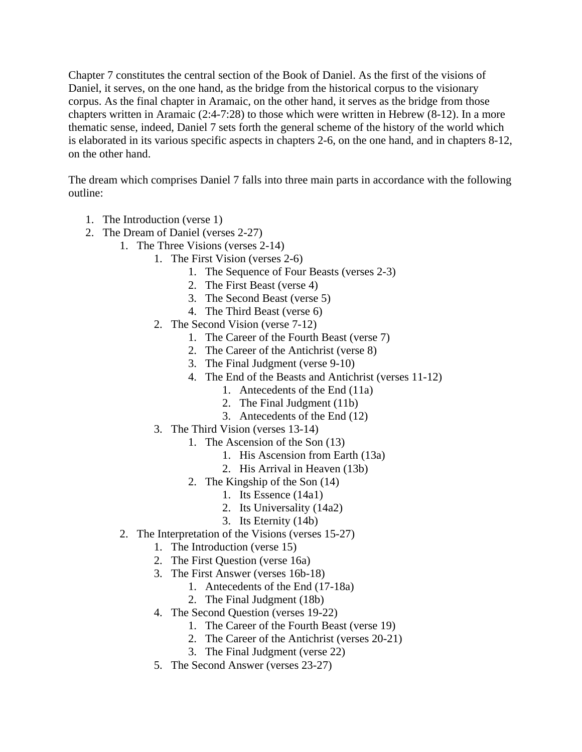Chapter 7 constitutes the central section of the Book of Daniel. As the first of the visions of Daniel, it serves, on the one hand, as the bridge from the historical corpus to the visionary corpus. As the final chapter in Aramaic, on the other hand, it serves as the bridge from those chapters written in Aramaic (2:4-7:28) to those which were written in Hebrew (8-12). In a more thematic sense, indeed, Daniel 7 sets forth the general scheme of the history of the world which is elaborated in its various specific aspects in chapters 2-6, on the one hand, and in chapters 8-12, on the other hand.

The dream which comprises Daniel 7 falls into three main parts in accordance with the following outline:

- 1. The Introduction (verse 1)
- 2. The Dream of Daniel (verses 2-27)
	- 1. The Three Visions (verses 2-14)
		- 1. The First Vision (verses 2-6)
			- 1. The Sequence of Four Beasts (verses 2-3)
			- 2. The First Beast (verse 4)
			- 3. The Second Beast (verse 5)
			- 4. The Third Beast (verse 6)
		- 2. The Second Vision (verse 7-12)
			- 1. The Career of the Fourth Beast (verse 7)
			- 2. The Career of the Antichrist (verse 8)
			- 3. The Final Judgment (verse 9-10)
			- 4. The End of the Beasts and Antichrist (verses 11-12)
				- 1. Antecedents of the End (11a)
				- 2. The Final Judgment (11b)
				- 3. Antecedents of the End (12)
		- 3. The Third Vision (verses 13-14)
			- 1. The Ascension of the Son (13)
				- 1. His Ascension from Earth (13a)
				- 2. His Arrival in Heaven (13b)
			- 2. The Kingship of the Son (14)
				- 1. Its Essence (14a1)
				- 2. Its Universality (14a2)
				- 3. Its Eternity (14b)
		- 2. The Interpretation of the Visions (verses 15-27)
			- 1. The Introduction (verse 15)
			- 2. The First Question (verse 16a)
			- 3. The First Answer (verses 16b-18)
				- 1. Antecedents of the End (17-18a)
				- 2. The Final Judgment (18b)
			- 4. The Second Question (verses 19-22)
				- 1. The Career of the Fourth Beast (verse 19)
				- 2. The Career of the Antichrist (verses 20-21)
				- 3. The Final Judgment (verse 22)
			- 5. The Second Answer (verses 23-27)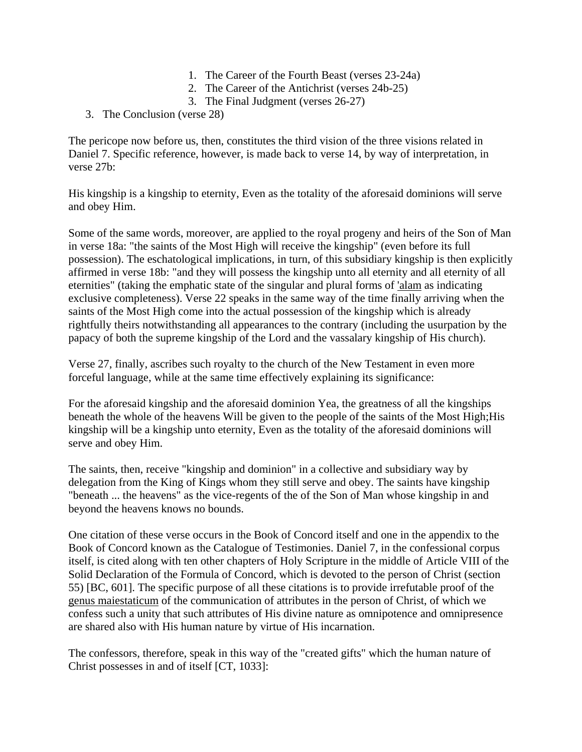- 1. The Career of the Fourth Beast (verses 23-24a)
- 2. The Career of the Antichrist (verses 24b-25)
- 3. The Final Judgment (verses 26-27)
- 3. The Conclusion (verse 28)

The pericope now before us, then, constitutes the third vision of the three visions related in Daniel 7. Specific reference, however, is made back to verse 14, by way of interpretation, in verse 27b:

His kingship is a kingship to eternity, Even as the totality of the aforesaid dominions will serve and obey Him.

Some of the same words, moreover, are applied to the royal progeny and heirs of the Son of Man in verse 18a: "the saints of the Most High will receive the kingship" (even before its full possession). The eschatological implications, in turn, of this subsidiary kingship is then explicitly affirmed in verse 18b: "and they will possess the kingship unto all eternity and all eternity of all eternities" (taking the emphatic state of the singular and plural forms of 'alam as indicating exclusive completeness). Verse 22 speaks in the same way of the time finally arriving when the saints of the Most High come into the actual possession of the kingship which is already rightfully theirs notwithstanding all appearances to the contrary (including the usurpation by the papacy of both the supreme kingship of the Lord and the vassalary kingship of His church).

Verse 27, finally, ascribes such royalty to the church of the New Testament in even more forceful language, while at the same time effectively explaining its significance:

For the aforesaid kingship and the aforesaid dominion Yea, the greatness of all the kingships beneath the whole of the heavens Will be given to the people of the saints of the Most High;His kingship will be a kingship unto eternity, Even as the totality of the aforesaid dominions will serve and obey Him.

The saints, then, receive "kingship and dominion" in a collective and subsidiary way by delegation from the King of Kings whom they still serve and obey. The saints have kingship "beneath ... the heavens" as the vice-regents of the of the Son of Man whose kingship in and beyond the heavens knows no bounds.

One citation of these verse occurs in the Book of Concord itself and one in the appendix to the Book of Concord known as the Catalogue of Testimonies. Daniel 7, in the confessional corpus itself, is cited along with ten other chapters of Holy Scripture in the middle of Article VIII of the Solid Declaration of the Formula of Concord, which is devoted to the person of Christ (section 55) [BC, 601]. The specific purpose of all these citations is to provide irrefutable proof of the genus maiestaticum of the communication of attributes in the person of Christ, of which we confess such a unity that such attributes of His divine nature as omnipotence and omnipresence are shared also with His human nature by virtue of His incarnation.

The confessors, therefore, speak in this way of the "created gifts" which the human nature of Christ possesses in and of itself [CT, 1033]: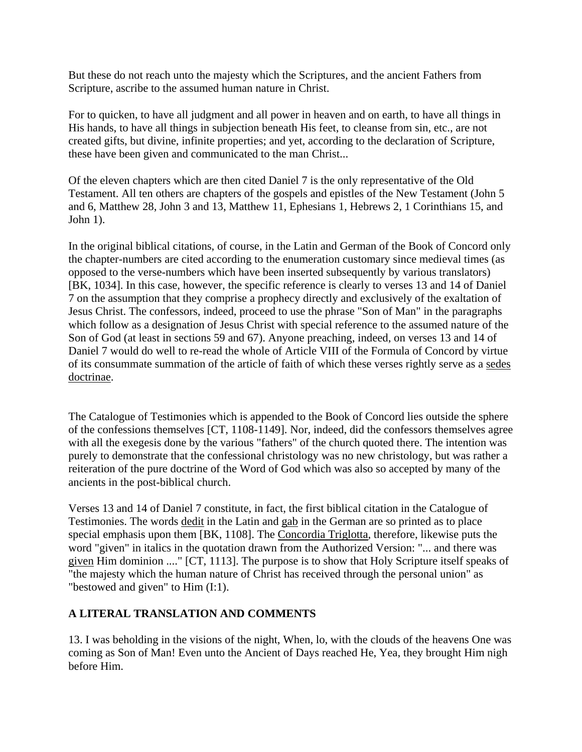But these do not reach unto the majesty which the Scriptures, and the ancient Fathers from Scripture, ascribe to the assumed human nature in Christ.

For to quicken, to have all judgment and all power in heaven and on earth, to have all things in His hands, to have all things in subjection beneath His feet, to cleanse from sin, etc., are not created gifts, but divine, infinite properties; and yet, according to the declaration of Scripture, these have been given and communicated to the man Christ...

Of the eleven chapters which are then cited Daniel 7 is the only representative of the Old Testament. All ten others are chapters of the gospels and epistles of the New Testament (John 5 and 6, Matthew 28, John 3 and 13, Matthew 11, Ephesians 1, Hebrews 2, 1 Corinthians 15, and John 1).

In the original biblical citations, of course, in the Latin and German of the Book of Concord only the chapter-numbers are cited according to the enumeration customary since medieval times (as opposed to the verse-numbers which have been inserted subsequently by various translators) [BK, 1034]. In this case, however, the specific reference is clearly to verses 13 and 14 of Daniel 7 on the assumption that they comprise a prophecy directly and exclusively of the exaltation of Jesus Christ. The confessors, indeed, proceed to use the phrase "Son of Man" in the paragraphs which follow as a designation of Jesus Christ with special reference to the assumed nature of the Son of God (at least in sections 59 and 67). Anyone preaching, indeed, on verses 13 and 14 of Daniel 7 would do well to re-read the whole of Article VIII of the Formula of Concord by virtue of its consummate summation of the article of faith of which these verses rightly serve as a sedes doctrinae.

The Catalogue of Testimonies which is appended to the Book of Concord lies outside the sphere of the confessions themselves [CT, 1108-1149]. Nor, indeed, did the confessors themselves agree with all the exegesis done by the various "fathers" of the church quoted there. The intention was purely to demonstrate that the confessional christology was no new christology, but was rather a reiteration of the pure doctrine of the Word of God which was also so accepted by many of the ancients in the post-biblical church.

Verses 13 and 14 of Daniel 7 constitute, in fact, the first biblical citation in the Catalogue of Testimonies. The words dedit in the Latin and gab in the German are so printed as to place special emphasis upon them [BK, 1108]. The Concordia Triglotta, therefore, likewise puts the word "given" in italics in the quotation drawn from the Authorized Version: "... and there was given Him dominion ...." [CT, 1113]. The purpose is to show that Holy Scripture itself speaks of "the majesty which the human nature of Christ has received through the personal union" as "bestowed and given" to Him (I:1).

## **A LITERAL TRANSLATION AND COMMENTS**

13. I was beholding in the visions of the night, When, lo, with the clouds of the heavens One was coming as Son of Man! Even unto the Ancient of Days reached He, Yea, they brought Him nigh before Him.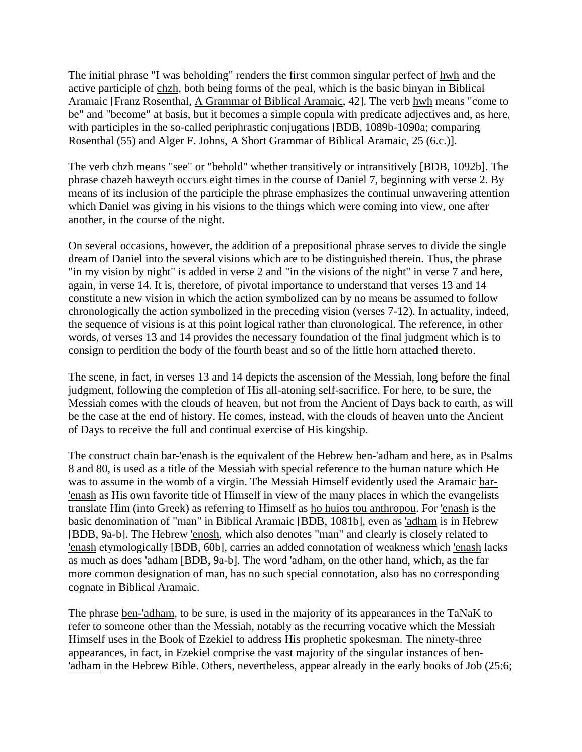The initial phrase "I was beholding" renders the first common singular perfect of hwh and the active participle of chzh, both being forms of the peal, which is the basic binyan in Biblical Aramaic [Franz Rosenthal, A Grammar of Biblical Aramaic, 42]. The verb hwh means "come to be" and "become" at basis, but it becomes a simple copula with predicate adjectives and, as here, with participles in the so-called periphrastic conjugations [BDB, 1089b-1090a; comparing Rosenthal (55) and Alger F. Johns, A Short Grammar of Biblical Aramaic, 25 (6.c.)].

The verb chzh means "see" or "behold" whether transitively or intransitively [BDB, 1092b]. The phrase chazeh haweyth occurs eight times in the course of Daniel 7, beginning with verse 2. By means of its inclusion of the participle the phrase emphasizes the continual unwavering attention which Daniel was giving in his visions to the things which were coming into view, one after another, in the course of the night.

On several occasions, however, the addition of a prepositional phrase serves to divide the single dream of Daniel into the several visions which are to be distinguished therein. Thus, the phrase "in my vision by night" is added in verse 2 and "in the visions of the night" in verse 7 and here, again, in verse 14. It is, therefore, of pivotal importance to understand that verses 13 and 14 constitute a new vision in which the action symbolized can by no means be assumed to follow chronologically the action symbolized in the preceding vision (verses 7-12). In actuality, indeed, the sequence of visions is at this point logical rather than chronological. The reference, in other words, of verses 13 and 14 provides the necessary foundation of the final judgment which is to consign to perdition the body of the fourth beast and so of the little horn attached thereto.

The scene, in fact, in verses 13 and 14 depicts the ascension of the Messiah, long before the final judgment, following the completion of His all-atoning self-sacrifice. For here, to be sure, the Messiah comes with the clouds of heaven, but not from the Ancient of Days back to earth, as will be the case at the end of history. He comes, instead, with the clouds of heaven unto the Ancient of Days to receive the full and continual exercise of His kingship.

The construct chain bar-'enash is the equivalent of the Hebrew ben-'adham and here, as in Psalms 8 and 80, is used as a title of the Messiah with special reference to the human nature which He was to assume in the womb of a virgin. The Messiah Himself evidently used the Aramaic bar- 'enash as His own favorite title of Himself in view of the many places in which the evangelists translate Him (into Greek) as referring to Himself as ho huios tou anthropou. For 'enash is the basic denomination of "man" in Biblical Aramaic [BDB, 1081b], even as 'adham is in Hebrew [BDB, 9a-b]. The Hebrew 'enosh, which also denotes "man" and clearly is closely related to 'enash etymologically [BDB, 60b], carries an added connotation of weakness which 'enash lacks as much as does 'adham [BDB, 9a-b]. The word 'adham, on the other hand, which, as the far more common designation of man, has no such special connotation, also has no corresponding cognate in Biblical Aramaic.

The phrase ben-'adham, to be sure, is used in the majority of its appearances in the TaNaK to refer to someone other than the Messiah, notably as the recurring vocative which the Messiah Himself uses in the Book of Ezekiel to address His prophetic spokesman. The ninety-three appearances, in fact, in Ezekiel comprise the vast majority of the singular instances of ben- 'adham in the Hebrew Bible. Others, nevertheless, appear already in the early books of Job (25:6;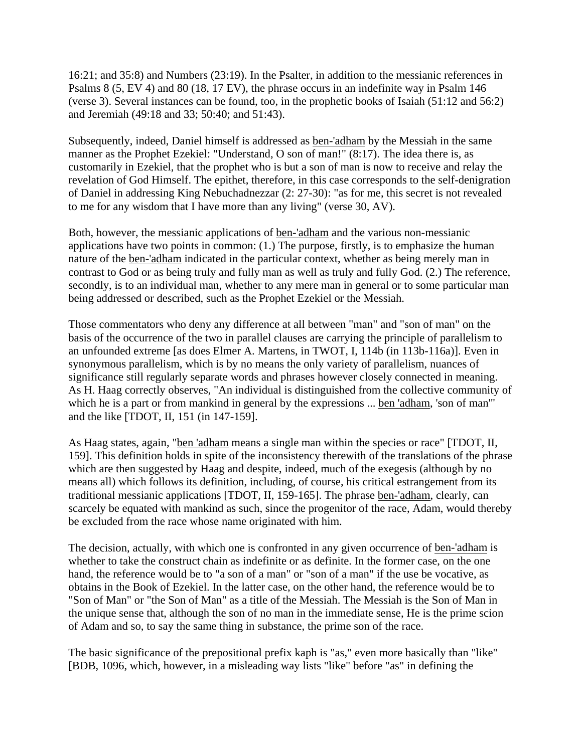16:21; and 35:8) and Numbers (23:19). In the Psalter, in addition to the messianic references in Psalms 8 (5, EV 4) and 80 (18, 17 EV), the phrase occurs in an indefinite way in Psalm 146 (verse 3). Several instances can be found, too, in the prophetic books of Isaiah (51:12 and 56:2) and Jeremiah (49:18 and 33; 50:40; and 51:43).

Subsequently, indeed, Daniel himself is addressed as ben-'adham by the Messiah in the same manner as the Prophet Ezekiel: "Understand, O son of man!" (8:17). The idea there is, as customarily in Ezekiel, that the prophet who is but a son of man is now to receive and relay the revelation of God Himself. The epithet, therefore, in this case corresponds to the self-denigration of Daniel in addressing King Nebuchadnezzar (2: 27-30): "as for me, this secret is not revealed to me for any wisdom that I have more than any living" (verse 30, AV).

Both, however, the messianic applications of ben-'adham and the various non-messianic applications have two points in common: (1.) The purpose, firstly, is to emphasize the human nature of the ben-'adham indicated in the particular context, whether as being merely man in contrast to God or as being truly and fully man as well as truly and fully God. (2.) The reference, secondly, is to an individual man, whether to any mere man in general or to some particular man being addressed or described, such as the Prophet Ezekiel or the Messiah.

Those commentators who deny any difference at all between "man" and "son of man" on the basis of the occurrence of the two in parallel clauses are carrying the principle of parallelism to an unfounded extreme [as does Elmer A. Martens, in TWOT, I, 114b (in 113b-116a)]. Even in synonymous parallelism, which is by no means the only variety of parallelism, nuances of significance still regularly separate words and phrases however closely connected in meaning. As H. Haag correctly observes, "An individual is distinguished from the collective community of which he is a part or from mankind in general by the expressions ... ben 'adham, 'son of man'" and the like [TDOT, II, 151 (in 147-159].

As Haag states, again, "ben 'adham means a single man within the species or race" [TDOT, II, 159]. This definition holds in spite of the inconsistency therewith of the translations of the phrase which are then suggested by Haag and despite, indeed, much of the exegesis (although by no means all) which follows its definition, including, of course, his critical estrangement from its traditional messianic applications [TDOT, II, 159-165]. The phrase ben-'adham, clearly, can scarcely be equated with mankind as such, since the progenitor of the race, Adam, would thereby be excluded from the race whose name originated with him.

The decision, actually, with which one is confronted in any given occurrence of ben-'adham is whether to take the construct chain as indefinite or as definite. In the former case, on the one hand, the reference would be to "a son of a man" or "son of a man" if the use be vocative, as obtains in the Book of Ezekiel. In the latter case, on the other hand, the reference would be to "Son of Man" or "the Son of Man" as a title of the Messiah. The Messiah is the Son of Man in the unique sense that, although the son of no man in the immediate sense, He is the prime scion of Adam and so, to say the same thing in substance, the prime son of the race.

The basic significance of the prepositional prefix kaph is "as," even more basically than "like" [BDB, 1096, which, however, in a misleading way lists "like" before "as" in defining the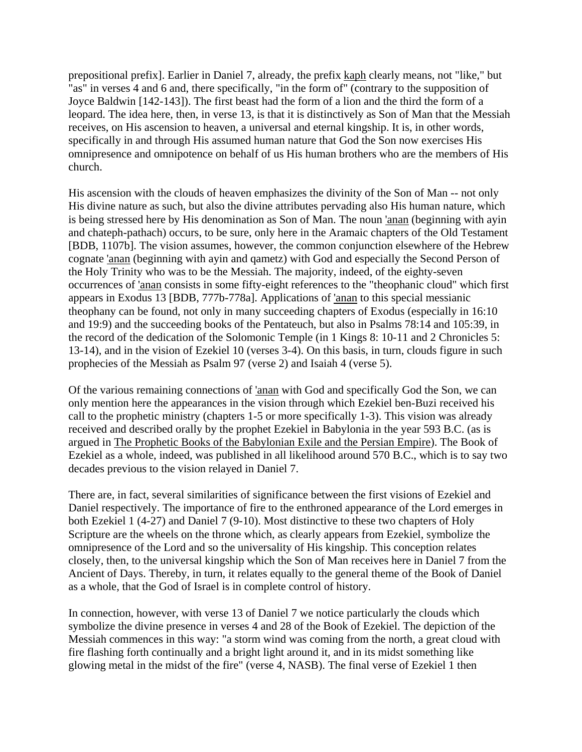prepositional prefix]. Earlier in Daniel 7, already, the prefix kaph clearly means, not "like," but "as" in verses 4 and 6 and, there specifically, "in the form of" (contrary to the supposition of Joyce Baldwin [142-143]). The first beast had the form of a lion and the third the form of a leopard. The idea here, then, in verse 13, is that it is distinctively as Son of Man that the Messiah receives, on His ascension to heaven, a universal and eternal kingship. It is, in other words, specifically in and through His assumed human nature that God the Son now exercises His omnipresence and omnipotence on behalf of us His human brothers who are the members of His church.

His ascension with the clouds of heaven emphasizes the divinity of the Son of Man -- not only His divine nature as such, but also the divine attributes pervading also His human nature, which is being stressed here by His denomination as Son of Man. The noun 'anan (beginning with ayin and chateph-pathach) occurs, to be sure, only here in the Aramaic chapters of the Old Testament [BDB, 1107b]. The vision assumes, however, the common conjunction elsewhere of the Hebrew cognate 'anan (beginning with ayin and qametz) with God and especially the Second Person of the Holy Trinity who was to be the Messiah. The majority, indeed, of the eighty-seven occurrences of 'anan consists in some fifty-eight references to the "theophanic cloud" which first appears in Exodus 13 [BDB, 777b-778a]. Applications of 'anan to this special messianic theophany can be found, not only in many succeeding chapters of Exodus (especially in 16:10 and 19:9) and the succeeding books of the Pentateuch, but also in Psalms 78:14 and 105:39, in the record of the dedication of the Solomonic Temple (in 1 Kings 8: 10-11 and 2 Chronicles 5: 13-14), and in the vision of Ezekiel 10 (verses 3-4). On this basis, in turn, clouds figure in such prophecies of the Messiah as Psalm 97 (verse 2) and Isaiah 4 (verse 5).

Of the various remaining connections of 'anan with God and specifically God the Son, we can only mention here the appearances in the vision through which Ezekiel ben-Buzi received his call to the prophetic ministry (chapters 1-5 or more specifically 1-3). This vision was already received and described orally by the prophet Ezekiel in Babylonia in the year 593 B.C. (as is argued in The Prophetic Books of the Babylonian Exile and the Persian Empire). The Book of Ezekiel as a whole, indeed, was published in all likelihood around 570 B.C., which is to say two decades previous to the vision relayed in Daniel 7.

There are, in fact, several similarities of significance between the first visions of Ezekiel and Daniel respectively. The importance of fire to the enthroned appearance of the Lord emerges in both Ezekiel 1 (4-27) and Daniel 7 (9-10). Most distinctive to these two chapters of Holy Scripture are the wheels on the throne which, as clearly appears from Ezekiel, symbolize the omnipresence of the Lord and so the universality of His kingship. This conception relates closely, then, to the universal kingship which the Son of Man receives here in Daniel 7 from the Ancient of Days. Thereby, in turn, it relates equally to the general theme of the Book of Daniel as a whole, that the God of Israel is in complete control of history.

In connection, however, with verse 13 of Daniel 7 we notice particularly the clouds which symbolize the divine presence in verses 4 and 28 of the Book of Ezekiel. The depiction of the Messiah commences in this way: "a storm wind was coming from the north, a great cloud with fire flashing forth continually and a bright light around it, and in its midst something like glowing metal in the midst of the fire" (verse 4, NASB). The final verse of Ezekiel 1 then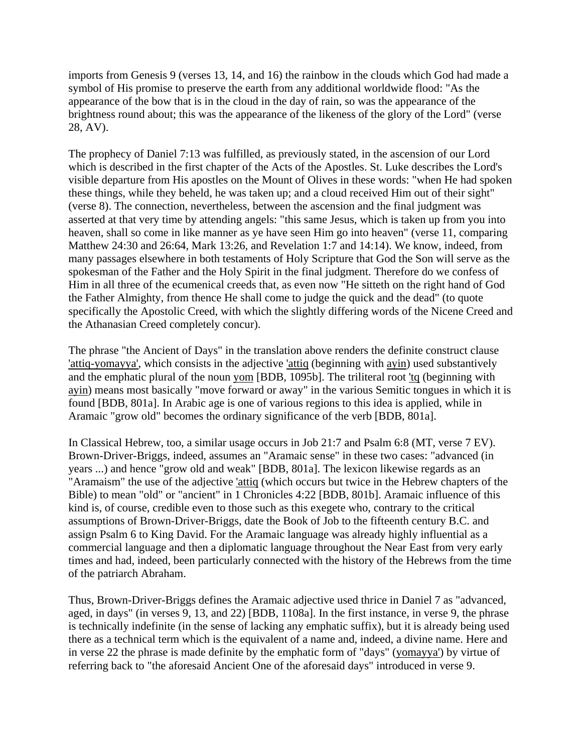imports from Genesis 9 (verses 13, 14, and 16) the rainbow in the clouds which God had made a symbol of His promise to preserve the earth from any additional worldwide flood: "As the appearance of the bow that is in the cloud in the day of rain, so was the appearance of the brightness round about; this was the appearance of the likeness of the glory of the Lord" (verse 28, AV).

The prophecy of Daniel 7:13 was fulfilled, as previously stated, in the ascension of our Lord which is described in the first chapter of the Acts of the Apostles. St. Luke describes the Lord's visible departure from His apostles on the Mount of Olives in these words: "when He had spoken these things, while they beheld, he was taken up; and a cloud received Him out of their sight" (verse 8). The connection, nevertheless, between the ascension and the final judgment was asserted at that very time by attending angels: "this same Jesus, which is taken up from you into heaven, shall so come in like manner as ye have seen Him go into heaven" (verse 11, comparing Matthew 24:30 and 26:64, Mark 13:26, and Revelation 1:7 and 14:14). We know, indeed, from many passages elsewhere in both testaments of Holy Scripture that God the Son will serve as the spokesman of the Father and the Holy Spirit in the final judgment. Therefore do we confess of Him in all three of the ecumenical creeds that, as even now "He sitteth on the right hand of God the Father Almighty, from thence He shall come to judge the quick and the dead" (to quote specifically the Apostolic Creed, with which the slightly differing words of the Nicene Creed and the Athanasian Creed completely concur).

The phrase "the Ancient of Days" in the translation above renders the definite construct clause 'attiq-yomayya', which consists in the adjective 'attiq (beginning with ayin) used substantively and the emphatic plural of the noun yom [BDB, 1095b]. The triliteral root 'tq (beginning with ayin) means most basically "move forward or away" in the various Semitic tongues in which it is found [BDB, 801a]. In Arabic age is one of various regions to this idea is applied, while in Aramaic "grow old" becomes the ordinary significance of the verb [BDB, 801a].

In Classical Hebrew, too, a similar usage occurs in Job 21:7 and Psalm 6:8 (MT, verse 7 EV). Brown-Driver-Briggs, indeed, assumes an "Aramaic sense" in these two cases: "advanced (in years ...) and hence "grow old and weak" [BDB, 801a]. The lexicon likewise regards as an "Aramaism" the use of the adjective 'attiq (which occurs but twice in the Hebrew chapters of the Bible) to mean "old" or "ancient" in 1 Chronicles 4:22 [BDB, 801b]. Aramaic influence of this kind is, of course, credible even to those such as this exegete who, contrary to the critical assumptions of Brown-Driver-Briggs, date the Book of Job to the fifteenth century B.C. and assign Psalm 6 to King David. For the Aramaic language was already highly influential as a commercial language and then a diplomatic language throughout the Near East from very early times and had, indeed, been particularly connected with the history of the Hebrews from the time of the patriarch Abraham.

Thus, Brown-Driver-Briggs defines the Aramaic adjective used thrice in Daniel 7 as "advanced, aged, in days" (in verses 9, 13, and 22) [BDB, 1108a]. In the first instance, in verse 9, the phrase is technically indefinite (in the sense of lacking any emphatic suffix), but it is already being used there as a technical term which is the equivalent of a name and, indeed, a divine name. Here and in verse 22 the phrase is made definite by the emphatic form of "days" (yomayya') by virtue of referring back to "the aforesaid Ancient One of the aforesaid days" introduced in verse 9.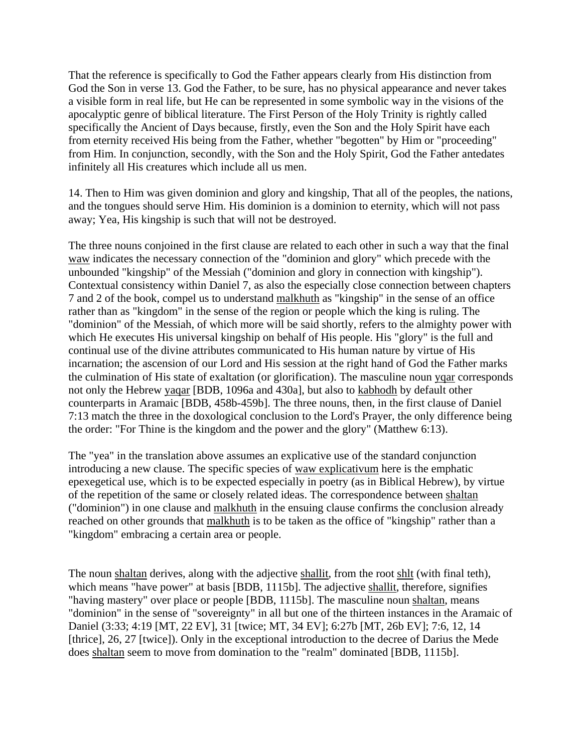That the reference is specifically to God the Father appears clearly from His distinction from God the Son in verse 13. God the Father, to be sure, has no physical appearance and never takes a visible form in real life, but He can be represented in some symbolic way in the visions of the apocalyptic genre of biblical literature. The First Person of the Holy Trinity is rightly called specifically the Ancient of Days because, firstly, even the Son and the Holy Spirit have each from eternity received His being from the Father, whether "begotten" by Him or "proceeding" from Him. In conjunction, secondly, with the Son and the Holy Spirit, God the Father antedates infinitely all His creatures which include all us men.

14. Then to Him was given dominion and glory and kingship, That all of the peoples, the nations, and the tongues should serve Him. His dominion is a dominion to eternity, which will not pass away; Yea, His kingship is such that will not be destroyed.

The three nouns conjoined in the first clause are related to each other in such a way that the final waw indicates the necessary connection of the "dominion and glory" which precede with the unbounded "kingship" of the Messiah ("dominion and glory in connection with kingship"). Contextual consistency within Daniel 7, as also the especially close connection between chapters 7 and 2 of the book, compel us to understand malkhuth as "kingship" in the sense of an office rather than as "kingdom" in the sense of the region or people which the king is ruling. The "dominion" of the Messiah, of which more will be said shortly, refers to the almighty power with which He executes His universal kingship on behalf of His people. His "glory" is the full and continual use of the divine attributes communicated to His human nature by virtue of His incarnation; the ascension of our Lord and His session at the right hand of God the Father marks the culmination of His state of exaltation (or glorification). The masculine noun yqar corresponds not only the Hebrew yaqar [BDB, 1096a and 430a], but also to kabhodh by default other counterparts in Aramaic [BDB, 458b-459b]. The three nouns, then, in the first clause of Daniel 7:13 match the three in the doxological conclusion to the Lord's Prayer, the only difference being the order: "For Thine is the kingdom and the power and the glory" (Matthew 6:13).

The "yea" in the translation above assumes an explicative use of the standard conjunction introducing a new clause. The specific species of waw explicativum here is the emphatic epexegetical use, which is to be expected especially in poetry (as in Biblical Hebrew), by virtue of the repetition of the same or closely related ideas. The correspondence between shaltan ("dominion") in one clause and malkhuth in the ensuing clause confirms the conclusion already reached on other grounds that malkhuth is to be taken as the office of "kingship" rather than a "kingdom" embracing a certain area or people.

The noun shaltan derives, along with the adjective shallit, from the root shlt (with final teth), which means "have power" at basis [BDB, 1115b]. The adjective shallit, therefore, signifies "having mastery" over place or people [BDB, 1115b]. The masculine noun shaltan, means "dominion" in the sense of "sovereignty" in all but one of the thirteen instances in the Aramaic of Daniel (3:33; 4:19 [MT, 22 EV], 31 [twice; MT, 34 EV]; 6:27b [MT, 26b EV]; 7:6, 12, 14 [thrice], 26, 27 [twice]). Only in the exceptional introduction to the decree of Darius the Mede does shaltan seem to move from domination to the "realm" dominated [BDB, 1115b].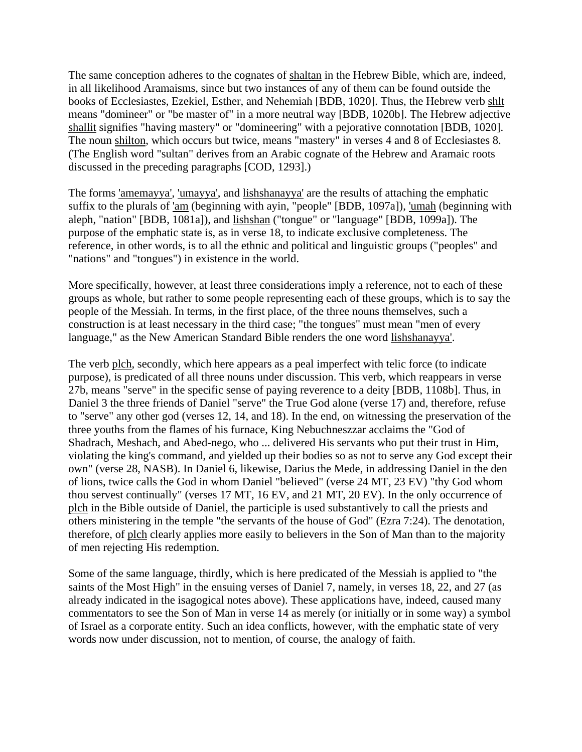The same conception adheres to the cognates of shaltan in the Hebrew Bible, which are, indeed, in all likelihood Aramaisms, since but two instances of any of them can be found outside the books of Ecclesiastes, Ezekiel, Esther, and Nehemiah [BDB, 1020]. Thus, the Hebrew verb shlt means "domineer" or "be master of" in a more neutral way [BDB, 1020b]. The Hebrew adjective shallit signifies "having mastery" or "domineering" with a pejorative connotation [BDB, 1020]. The noun shilton, which occurs but twice, means "mastery" in verses 4 and 8 of Ecclesiastes 8. (The English word "sultan" derives from an Arabic cognate of the Hebrew and Aramaic roots discussed in the preceding paragraphs [COD, 1293].)

The forms 'amemayya', 'umayya', and lishshanayya' are the results of attaching the emphatic suffix to the plurals of 'am (beginning with ayin, "people" [BDB, 1097a]), 'umah (beginning with aleph, "nation" [BDB, 1081a]), and lishshan ("tongue" or "language" [BDB, 1099a]). The purpose of the emphatic state is, as in verse 18, to indicate exclusive completeness. The reference, in other words, is to all the ethnic and political and linguistic groups ("peoples" and "nations" and "tongues") in existence in the world.

More specifically, however, at least three considerations imply a reference, not to each of these groups as whole, but rather to some people representing each of these groups, which is to say the people of the Messiah. In terms, in the first place, of the three nouns themselves, such a construction is at least necessary in the third case; "the tongues" must mean "men of every language," as the New American Standard Bible renders the one word lishshanayya'.

The verb plch, secondly, which here appears as a peal imperfect with telic force (to indicate purpose), is predicated of all three nouns under discussion. This verb, which reappears in verse 27b, means "serve" in the specific sense of paying reverence to a deity [BDB, 1108b]. Thus, in Daniel 3 the three friends of Daniel "serve" the True God alone (verse 17) and, therefore, refuse to "serve" any other god (verses 12, 14, and 18). In the end, on witnessing the preservation of the three youths from the flames of his furnace, King Nebuchneszzar acclaims the "God of Shadrach, Meshach, and Abed-nego, who ... delivered His servants who put their trust in Him, violating the king's command, and yielded up their bodies so as not to serve any God except their own" (verse 28, NASB). In Daniel 6, likewise, Darius the Mede, in addressing Daniel in the den of lions, twice calls the God in whom Daniel "believed" (verse 24 MT, 23 EV) "thy God whom thou servest continually" (verses 17 MT, 16 EV, and 21 MT, 20 EV). In the only occurrence of plch in the Bible outside of Daniel, the participle is used substantively to call the priests and others ministering in the temple "the servants of the house of God" (Ezra 7:24). The denotation, therefore, of plch clearly applies more easily to believers in the Son of Man than to the majority of men rejecting His redemption.

Some of the same language, thirdly, which is here predicated of the Messiah is applied to "the saints of the Most High" in the ensuing verses of Daniel 7, namely, in verses 18, 22, and 27 (as already indicated in the isagogical notes above). These applications have, indeed, caused many commentators to see the Son of Man in verse 14 as merely (or initially or in some way) a symbol of Israel as a corporate entity. Such an idea conflicts, however, with the emphatic state of very words now under discussion, not to mention, of course, the analogy of faith.